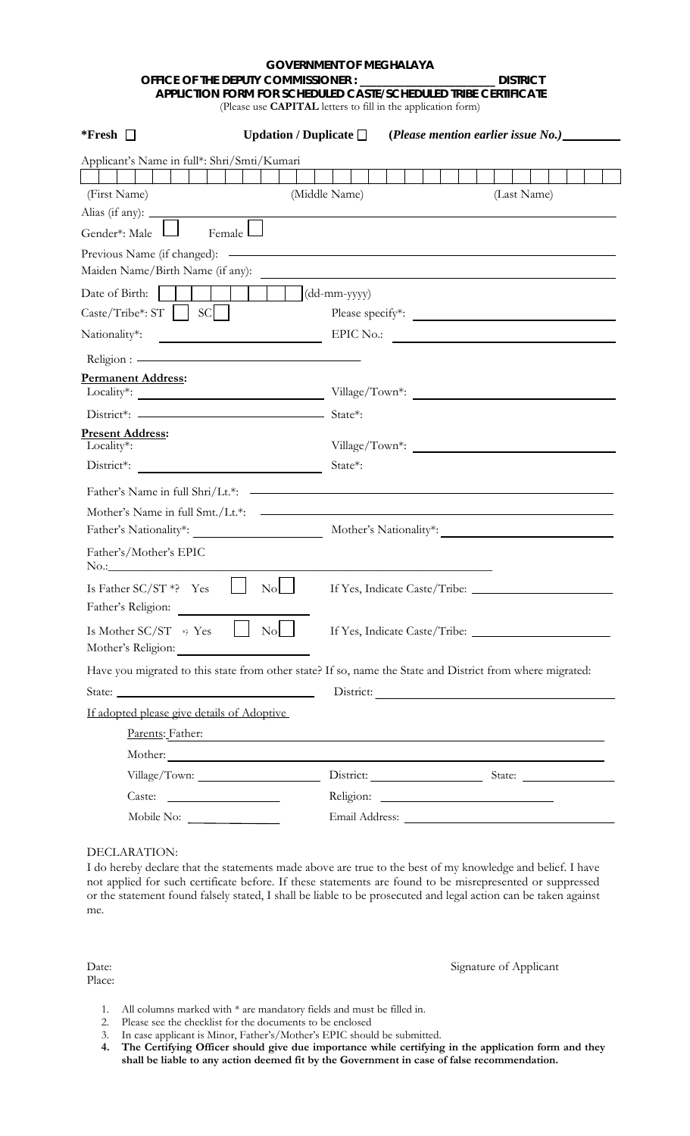## **GOVERNMENT OF MEGHALAYA OFFICE OF THE DEPUTY COMMISSIONER : \_\_\_\_\_\_\_\_\_\_\_\_\_\_\_\_\_\_\_\_\_\_\_\_ DISTRICT APPLICTION FORM FOR SCHEDULED CASTE/SCHEDULED TRIBE CERTIFICATE** (Please use **CAPITAL** letters to fill in the application form)

| *Fresh $\Box$                                                     | Updation / Duplicate $\Box$<br>(Please mention earlier issue No.)                                                   |
|-------------------------------------------------------------------|---------------------------------------------------------------------------------------------------------------------|
| Applicant's Name in full*: Shri/Smti/Kumari                       |                                                                                                                     |
| (First Name)                                                      | (Middle Name)<br>(Last Name)                                                                                        |
| Alias (if any): _                                                 |                                                                                                                     |
| Gender*: Male<br>Female                                           |                                                                                                                     |
| Previous Name (if changed): -<br>Maiden Name/Birth Name (if any): | and the control of the control of the control of the control of the control of the control of the control of the    |
| Date of Birth:                                                    | $(dd\text{-}mm\text{-}yyyy)$                                                                                        |
| SC.<br>$\text{Caste}/\text{Tribe*: ST}$                           | Please specify*:                                                                                                    |
| Nationality*:                                                     | <b>EPIC No.:</b>                                                                                                    |
|                                                                   |                                                                                                                     |
| <b>Permanent Address:</b>                                         | Village/Town*:                                                                                                      |
| District*: —————————————————                                      | State*:                                                                                                             |
| <b>Present Address:</b><br>Locality*:                             |                                                                                                                     |
| District*:                                                        | State*:                                                                                                             |
| Father's Name in full Shri/Lt.*:                                  | <u> 1989 - Andrea Stadt Britain, amerikansk politik (d. 1989)</u>                                                   |
| Mother's Name in full Smt./Lt.*:                                  | <u> 1989 - Johann Barbara, martin amerikan basar dan basa dan basa dan basa dan basa dan basa dan basa dan basa</u> |
| Father's Nationality*:                                            | Mother's Nationality*:                                                                                              |
| Father's/Mother's EPIC                                            |                                                                                                                     |
| $\rm No$<br>Is Father $SC/ST *$ ? Yes<br>Father's Religion:       |                                                                                                                     |
| Mother's Religion:<br><u> 1980 - Johann Barbara, martin a</u>     | Is Mother SC/ST * Yes No No If Yes, Indicate Caste/Tribe: ______________________                                    |
|                                                                   | Have you migrated to this state from other state? If so, name the State and District from where migrated:           |
|                                                                   |                                                                                                                     |
| If adopted please give details of Adoptive                        |                                                                                                                     |
| Parents: Father:                                                  | <u> 1989 - Johann Stein, mars an deus Amerikaansk kommunister (</u>                                                 |
|                                                                   |                                                                                                                     |
|                                                                   | District: State: State:                                                                                             |
|                                                                   |                                                                                                                     |
| Mobile No:                                                        |                                                                                                                     |

DECLARATION:

I do hereby declare that the statements made above are true to the best of my knowledge and belief. I have not applied for such certificate before. If these statements are found to be misrepresented or suppressed or the statement found falsely stated, I shall be liable to be prosecuted and legal action can be taken against me.

Place:

Date: Signature of Applicant

- 1. All columns marked with \* are mandatory fields and must be filled in.
- 2. Please see the checklist for the documents to be enclosed
- 3. In case applicant is Minor, Father's/Mother's EPIC should be submitted.
- **4. The Certifying Officer should give due importance while certifying in the application form and they shall be liable to any action deemed fit by the Government in case of false recommendation.**